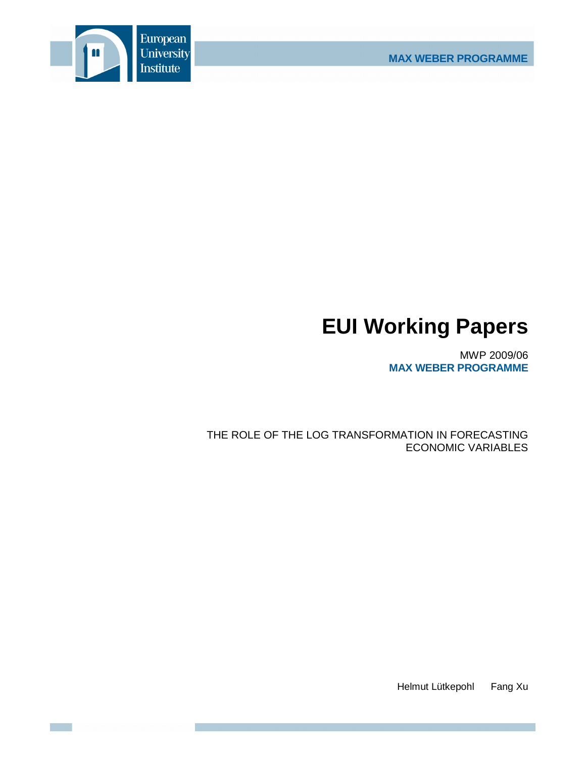

# **EUI Working Papers**

MWP 2009/06 **MAX WEBER PROGRAMME**

THE ROLE OF THE LOG TRANSFORMATION IN FORECASTING ECONOMIC VARIABLES

Helmut Lütkepohl Fang Xu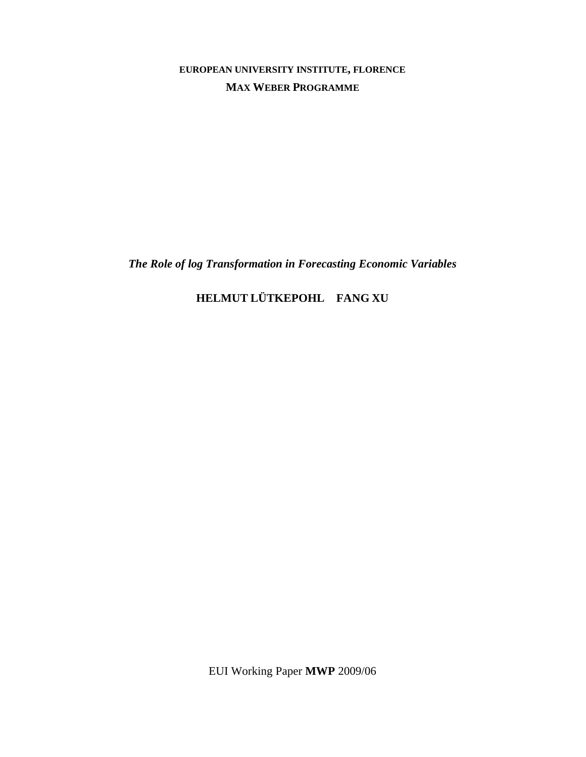**EUROPEAN UNIVERSITY INSTITUTE, FLORENCE MAX WEBER PROGRAMME**

*The Role of log Transformation in Forecasting Economic Variables* 

# **HELMUT LÜTKEPOHL FANG XU**

EUI Working Paper **MWP** 2009/06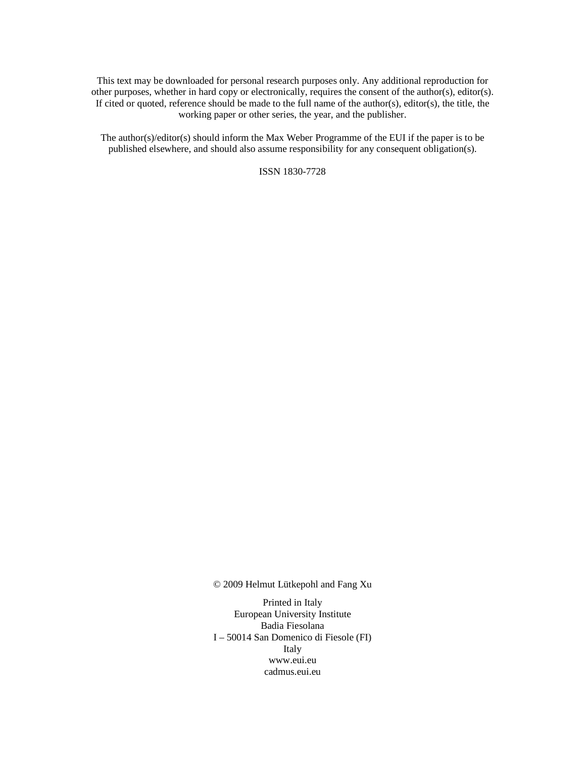This text may be downloaded for personal research purposes only. Any additional reproduction for other purposes, whether in hard copy or electronically, requires the consent of the author(s), editor(s). If cited or quoted, reference should be made to the full name of the author(s), editor(s), the title, the working paper or other series, the year, and the publisher.

The author(s)/editor(s) should inform the Max Weber Programme of the EUI if the paper is to be published elsewhere, and should also assume responsibility for any consequent obligation(s).

ISSN 1830-7728

© 2009 Helmut Lütkepohl and Fang Xu

Printed in Italy European University Institute Badia Fiesolana I – 50014 San Domenico di Fiesole (FI) Italy www.eui.eu cadmus.eui.eu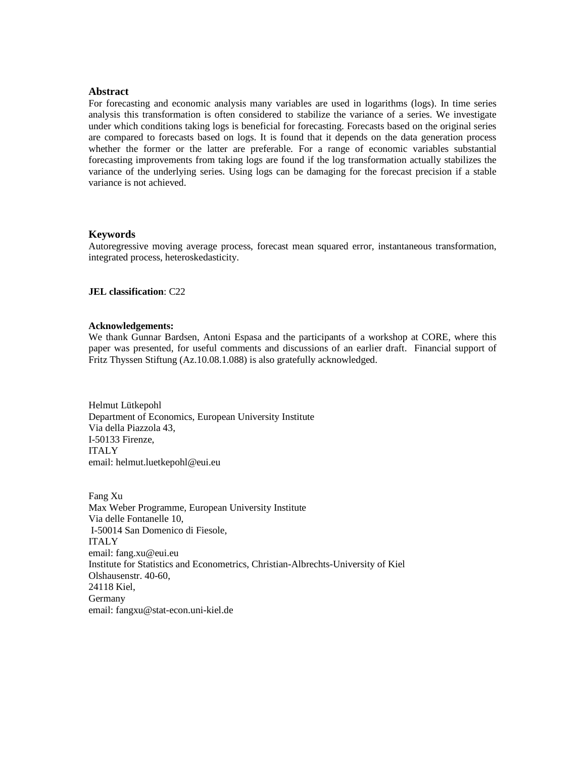#### **Abstract**

For forecasting and economic analysis many variables are used in logarithms (logs). In time series analysis this transformation is often considered to stabilize the variance of a series. We investigate under which conditions taking logs is beneficial for forecasting. Forecasts based on the original series are compared to forecasts based on logs. It is found that it depends on the data generation process whether the former or the latter are preferable. For a range of economic variables substantial forecasting improvements from taking logs are found if the log transformation actually stabilizes the variance of the underlying series. Using logs can be damaging for the forecast precision if a stable variance is not achieved.

#### **Keywords**

Autoregressive moving average process, forecast mean squared error, instantaneous transformation, integrated process, heteroskedasticity.

**JEL classification**: C22

#### **Acknowledgements:**

We thank Gunnar Bardsen, Antoni Espasa and the participants of a workshop at CORE, where this paper was presented, for useful comments and discussions of an earlier draft. Financial support of Fritz Thyssen Stiftung (Az.10.08.1.088) is also gratefully acknowledged.

Helmut Lütkepohl Department of Economics, European University Institute Via della Piazzola 43, I-50133 Firenze, ITALY email: helmut.luetkepohl@eui.eu

Fang Xu Max Weber Programme, European University Institute Via delle Fontanelle 10, I-50014 San Domenico di Fiesole, ITALY email: fang.xu@eui.eu Institute for Statistics and Econometrics, Christian-Albrechts-University of Kiel Olshausenstr. 40-60, 24118 Kiel, Germany email: fangxu@stat-econ.uni-kiel.de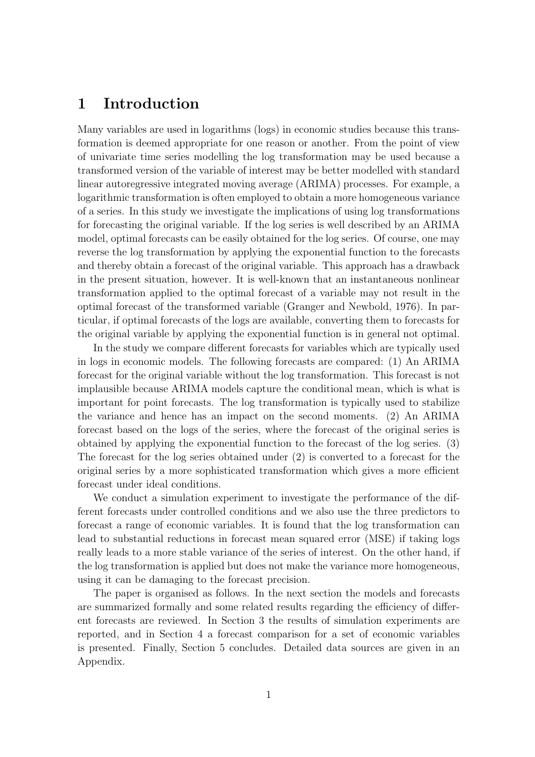## 1 Introduction

Many variables are used in logarithms (logs) in economic studies because this transformation is deemed appropriate for one reason or another. From the point of view of univariate time series modelling the log transformation may be used because a transformed version of the variable of interest may be better modelled with standard linear autoregressive integrated moving average (ARIMA) processes. For example, a logarithmic transformation is often employed to obtain a more homogeneous variance of a series. In this study we investigate the implications of using log transformations for forecasting the original variable. If the log series is well described by an ARIMA model, optimal forecasts can be easily obtained for the log series. Of course, one may reverse the log transformation by applying the exponential function to the forecasts and thereby obtain a forecast of the original variable. This approach has a drawback in the present situation, however. It is well-known that an instantaneous nonlinear transformation applied to the optimal forecast of a variable may not result in the optimal forecast of the transformed variable (Granger and Newbold, 1976). In particular, if optimal forecasts of the logs are available, converting them to forecasts for the original variable by applying the exponential function is in general not optimal.

In the study we compare different forecasts for variables which are typically used in logs in economic models. The following forecasts are compared: (1) An ARIMA forecast for the original variable without the log transformation. This forecast is not implausible because ARIMA models capture the conditional mean, which is what is important for point forecasts. The log transformation is typically used to stabilize the variance and hence has an impact on the second moments. (2) An ARIMA forecast based on the logs of the series, where the forecast of the original series is obtained by applying the exponential function to the forecast of the log series. (3) The forecast for the log series obtained under (2) is converted to a forecast for the original series by a more sophisticated transformation which gives a more efficient forecast under ideal conditions.

We conduct a simulation experiment to investigate the performance of the different forecasts under controlled conditions and we also use the three predictors to forecast a range of economic variables. It is found that the log transformation can lead to substantial reductions in forecast mean squared error (MSE) if taking logs really leads to a more stable variance of the series of interest. On the other hand, if the log transformation is applied but does not make the variance more homogeneous, using it can be damaging to the forecast precision.

The paper is organised as follows. In the next section the models and forecasts are summarized formally and some related results regarding the efficiency of different forecasts are reviewed. In Section 3 the results of simulation experiments are reported, and in Section 4 a forecast comparison for a set of economic variables is presented. Finally, Section 5 concludes. Detailed data sources are given in an Appendix.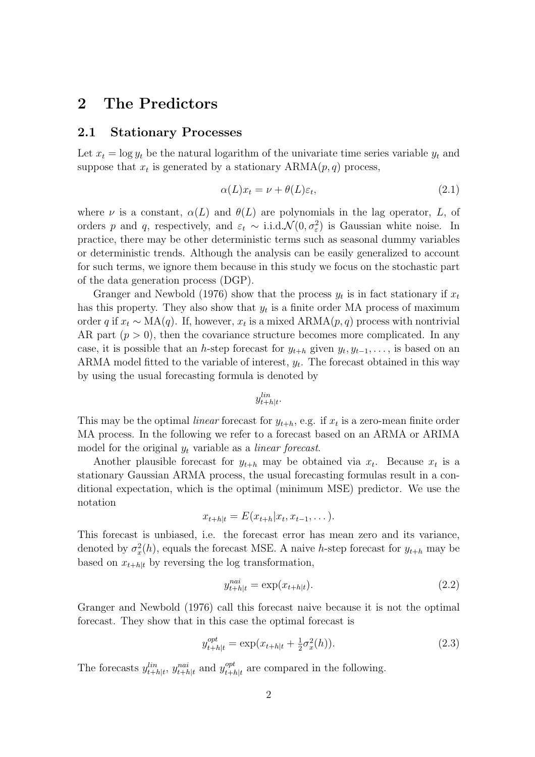## 2 The Predictors

#### 2.1 Stationary Processes

Let  $x_t = \log y_t$  be the natural logarithm of the univariate time series variable  $y_t$  and suppose that  $x_t$  is generated by a stationary  $ARMA(p, q)$  process,

$$
\alpha(L)x_t = \nu + \theta(L)\varepsilon_t,\tag{2.1}
$$

where  $\nu$  is a constant,  $\alpha(L)$  and  $\theta(L)$  are polynomials in the lag operator, L, of orders p and q, respectively, and  $\varepsilon_t \sim i.i.d.\mathcal{N}(0, \sigma_{\varepsilon}^2)$  is Gaussian white noise. In practice, there may be other deterministic terms such as seasonal dummy variables or deterministic trends. Although the analysis can be easily generalized to account for such terms, we ignore them because in this study we focus on the stochastic part of the data generation process (DGP).

Granger and Newbold (1976) show that the process  $y_t$  is in fact stationary if  $x_t$ has this property. They also show that  $y_t$  is a finite order MA process of maximum order q if  $x_t \sim MA(q)$ . If, however,  $x_t$  is a mixed  $ARMA(p, q)$  process with nontrivial AR part  $(p > 0)$ , then the covariance structure becomes more complicated. In any case, it is possible that an h-step forecast for  $y_{t+h}$  given  $y_t, y_{t-1}, \ldots$ , is based on an ARMA model fitted to the variable of interest,  $y_t$ . The forecast obtained in this way by using the usual forecasting formula is denoted by

 $y_{t+h|t}^{lin}$ .

This may be the optimal *linear* forecast for  $y_{t+h}$ , e.g. if  $x_t$  is a zero-mean finite order MA process. In the following we refer to a forecast based on an ARMA or ARIMA model for the original  $y_t$  variable as a *linear forecast*.

Another plausible forecast for  $y_{t+h}$  may be obtained via  $x_t$ . Because  $x_t$  is a stationary Gaussian ARMA process, the usual forecasting formulas result in a conditional expectation, which is the optimal (minimum MSE) predictor. We use the notation

$$
x_{t+h|t} = E(x_{t+h}|x_t, x_{t-1}, \dots).
$$

This forecast is unbiased, i.e. the forecast error has mean zero and its variance, denoted by  $\sigma_x^2(h)$ , equals the forecast MSE. A naive h-step forecast for  $y_{t+h}$  may be based on  $x_{t+h|t}$  by reversing the log transformation,

$$
y_{t+h|t}^{nai} = \exp(x_{t+h|t}).
$$
\n(2.2)

Granger and Newbold (1976) call this forecast naive because it is not the optimal forecast. They show that in this case the optimal forecast is

$$
y_{t+h|t}^{opt} = \exp(x_{t+h|t} + \frac{1}{2}\sigma_x^2(h)).
$$
\n(2.3)

The forecasts  $y_{t+h|t}^{lin}$ ,  $y_{t+h|t}^{nai}$  and  $y_{t+h}^{opt}$  $t_{t+h|t}^{opt}$  are compared in the following.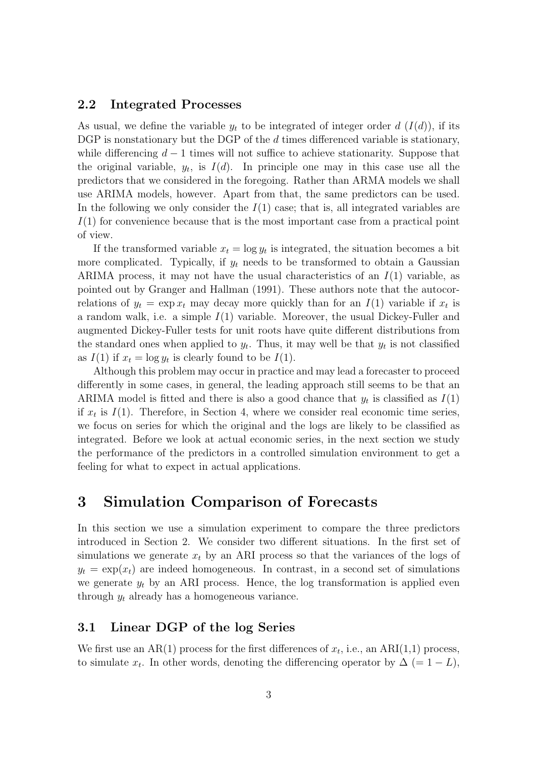#### 2.2 Integrated Processes

As usual, we define the variable  $y_t$  to be integrated of integer order d  $(I(d))$ , if its DGP is nonstationary but the DGP of the d times differenced variable is stationary, while differencing  $d-1$  times will not suffice to achieve stationarity. Suppose that the original variable,  $y_t$ , is  $I(d)$ . In principle one may in this case use all the predictors that we considered in the foregoing. Rather than ARMA models we shall use ARIMA models, however. Apart from that, the same predictors can be used. In the following we only consider the  $I(1)$  case; that is, all integrated variables are  $I(1)$  for convenience because that is the most important case from a practical point of view.

If the transformed variable  $x_t = \log y_t$  is integrated, the situation becomes a bit more complicated. Typically, if  $y_t$  needs to be transformed to obtain a Gaussian ARIMA process, it may not have the usual characteristics of an  $I(1)$  variable, as pointed out by Granger and Hallman (1991). These authors note that the autocorrelations of  $y_t = \exp x_t$  may decay more quickly than for an  $I(1)$  variable if  $x_t$  is a random walk, i.e. a simple  $I(1)$  variable. Moreover, the usual Dickey-Fuller and augmented Dickey-Fuller tests for unit roots have quite different distributions from the standard ones when applied to  $y_t$ . Thus, it may well be that  $y_t$  is not classified as  $I(1)$  if  $x_t = \log y_t$  is clearly found to be  $I(1)$ .

Although this problem may occur in practice and may lead a forecaster to proceed differently in some cases, in general, the leading approach still seems to be that an ARIMA model is fitted and there is also a good chance that  $y_t$  is classified as  $I(1)$ if  $x_t$  is  $I(1)$ . Therefore, in Section 4, where we consider real economic time series, we focus on series for which the original and the logs are likely to be classified as integrated. Before we look at actual economic series, in the next section we study the performance of the predictors in a controlled simulation environment to get a feeling for what to expect in actual applications.

## 3 Simulation Comparison of Forecasts

In this section we use a simulation experiment to compare the three predictors introduced in Section 2. We consider two different situations. In the first set of simulations we generate  $x_t$  by an ARI process so that the variances of the logs of  $y_t = \exp(x_t)$  are indeed homogeneous. In contrast, in a second set of simulations we generate  $y_t$  by an ARI process. Hence, the log transformation is applied even through  $y_t$  already has a homogeneous variance.

## 3.1 Linear DGP of the log Series

We first use an AR(1) process for the first differences of  $x_t$ , i.e., an ARI(1,1) process, to simulate  $x_t$ . In other words, denoting the differencing operator by  $\Delta (= 1 - L)$ ,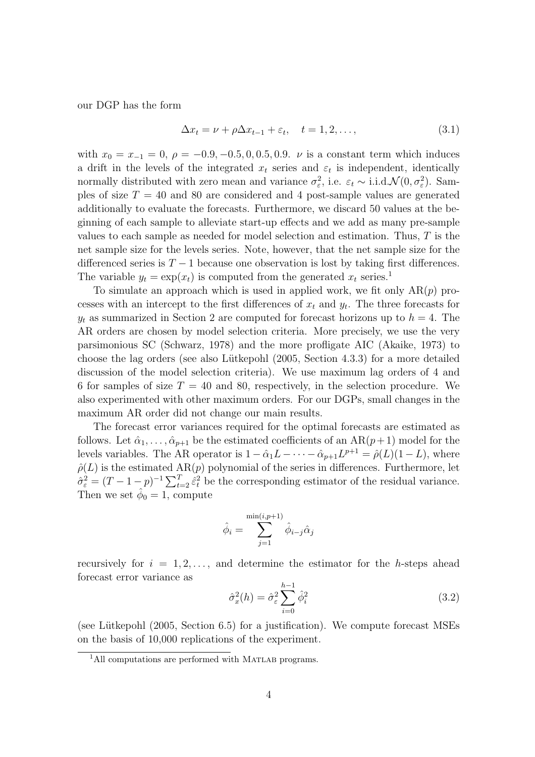our DGP has the form

$$
\Delta x_t = \nu + \rho \Delta x_{t-1} + \varepsilon_t, \quad t = 1, 2, \dots,
$$
\n(3.1)

with  $x_0 = x_{-1} = 0$ ,  $\rho = -0.9, -0.5, 0, 0.5, 0.9$ .  $\nu$  is a constant term which induces a drift in the levels of the integrated  $x_t$  series and  $\varepsilon_t$  is independent, identically normally distributed with zero mean and variance  $\sigma_{\varepsilon}^2$ , i.e.  $\varepsilon_t \sim \text{i.i.d.}\mathcal{N}(0, \sigma_{\varepsilon}^2)$ . Samples of size  $T = 40$  and 80 are considered and 4 post-sample values are generated additionally to evaluate the forecasts. Furthermore, we discard 50 values at the beginning of each sample to alleviate start-up effects and we add as many pre-sample values to each sample as needed for model selection and estimation. Thus, T is the net sample size for the levels series. Note, however, that the net sample size for the differenced series is  $T - 1$  because one observation is lost by taking first differences. The variable  $y_t = \exp(x_t)$  is computed from the generated  $x_t$  series.<sup>1</sup>

To simulate an approach which is used in applied work, we fit only  $AR(p)$  processes with an intercept to the first differences of  $x_t$  and  $y_t$ . The three forecasts for  $y_t$  as summarized in Section 2 are computed for forecast horizons up to  $h = 4$ . The AR orders are chosen by model selection criteria. More precisely, we use the very parsimonious SC (Schwarz, 1978) and the more profligate AIC (Akaike, 1973) to choose the lag orders (see also Lütkepohl  $(2005, Section 4.3.3)$  for a more detailed discussion of the model selection criteria). We use maximum lag orders of 4 and 6 for samples of size  $T = 40$  and 80, respectively, in the selection procedure. We also experimented with other maximum orders. For our DGPs, small changes in the maximum AR order did not change our main results.

The forecast error variances required for the optimal forecasts are estimated as follows. Let  $\hat{\alpha}_1, \ldots, \hat{\alpha}_{p+1}$  be the estimated coefficients of an AR( $p+1$ ) model for the levels variables. The AR operator is  $1 - \hat{\alpha}_1 L - \cdots - \hat{\alpha}_{p+1} L^{p+1} = \hat{\rho}(L) (1 - L)$ , where  $\hat{\rho}(L)$  is the estimated  $AR(p)$  polynomial of the series in differences. Furthermore, let  $\rho(L)$  is the estimated  $\text{An}(p)$  polynomial of the series in differences. Furthermore, for  $\hat{\sigma}_{\varepsilon}^2 = (T - 1 - p)^{-1} \sum_{t=2}^{T} \hat{\varepsilon}_t^2$  be the corresponding estimator of the residual variance. Then we set  $\phi_0 = 1$ , compute

$$
\hat{\phi}_i = \sum_{j=1}^{\min(i,p+1)} \hat{\phi}_{i-j} \hat{\alpha}_j
$$

recursively for  $i = 1, 2, \ldots$ , and determine the estimator for the h-steps ahead forecast error variance as

$$
\hat{\sigma}_x^2(h) = \hat{\sigma}_\varepsilon^2 \sum_{i=0}^{h-1} \hat{\phi}_i^2 \tag{3.2}
$$

(see Lütkepohl  $(2005, Section 6.5)$  for a justification). We compute forecast MSEs on the basis of 10,000 replications of the experiment.

<sup>&</sup>lt;sup>1</sup>All computations are performed with MATLAB programs.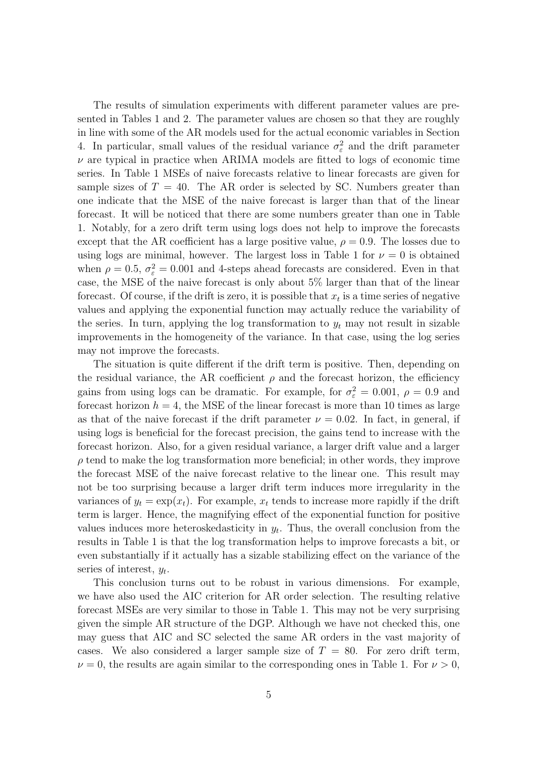The results of simulation experiments with different parameter values are presented in Tables 1 and 2. The parameter values are chosen so that they are roughly in line with some of the AR models used for the actual economic variables in Section 4. In particular, small values of the residual variance  $\sigma_{\varepsilon}^2$  and the drift parameter  $\nu$  are typical in practice when ARIMA models are fitted to logs of economic time series. In Table 1 MSEs of naive forecasts relative to linear forecasts are given for sample sizes of  $T = 40$ . The AR order is selected by SC. Numbers greater than one indicate that the MSE of the naive forecast is larger than that of the linear forecast. It will be noticed that there are some numbers greater than one in Table 1. Notably, for a zero drift term using logs does not help to improve the forecasts except that the AR coefficient has a large positive value,  $\rho = 0.9$ . The losses due to using logs are minimal, however. The largest loss in Table 1 for  $\nu = 0$  is obtained when  $\rho = 0.5$ ,  $\sigma_{\varepsilon}^2 = 0.001$  and 4-steps ahead forecasts are considered. Even in that case, the MSE of the naive forecast is only about 5% larger than that of the linear forecast. Of course, if the drift is zero, it is possible that  $x_t$  is a time series of negative values and applying the exponential function may actually reduce the variability of the series. In turn, applying the log transformation to  $y_t$  may not result in sizable improvements in the homogeneity of the variance. In that case, using the log series may not improve the forecasts.

The situation is quite different if the drift term is positive. Then, depending on the residual variance, the AR coefficient  $\rho$  and the forecast horizon, the efficiency gains from using logs can be dramatic. For example, for  $\sigma_{\varepsilon}^2 = 0.001$ ,  $\rho = 0.9$  and forecast horizon  $h = 4$ , the MSE of the linear forecast is more than 10 times as large as that of the naive forecast if the drift parameter  $\nu = 0.02$ . In fact, in general, if using logs is beneficial for the forecast precision, the gains tend to increase with the forecast horizon. Also, for a given residual variance, a larger drift value and a larger  $\rho$  tend to make the log transformation more beneficial; in other words, they improve the forecast MSE of the naive forecast relative to the linear one. This result may not be too surprising because a larger drift term induces more irregularity in the variances of  $y_t = \exp(x_t)$ . For example,  $x_t$  tends to increase more rapidly if the drift term is larger. Hence, the magnifying effect of the exponential function for positive values induces more heteroskedasticity in  $y_t$ . Thus, the overall conclusion from the results in Table 1 is that the log transformation helps to improve forecasts a bit, or even substantially if it actually has a sizable stabilizing effect on the variance of the series of interest,  $y_t$ .

This conclusion turns out to be robust in various dimensions. For example, we have also used the AIC criterion for AR order selection. The resulting relative forecast MSEs are very similar to those in Table 1. This may not be very surprising given the simple AR structure of the DGP. Although we have not checked this, one may guess that AIC and SC selected the same AR orders in the vast majority of cases. We also considered a larger sample size of  $T = 80$ . For zero drift term,  $\nu = 0$ , the results are again similar to the corresponding ones in Table 1. For  $\nu > 0$ ,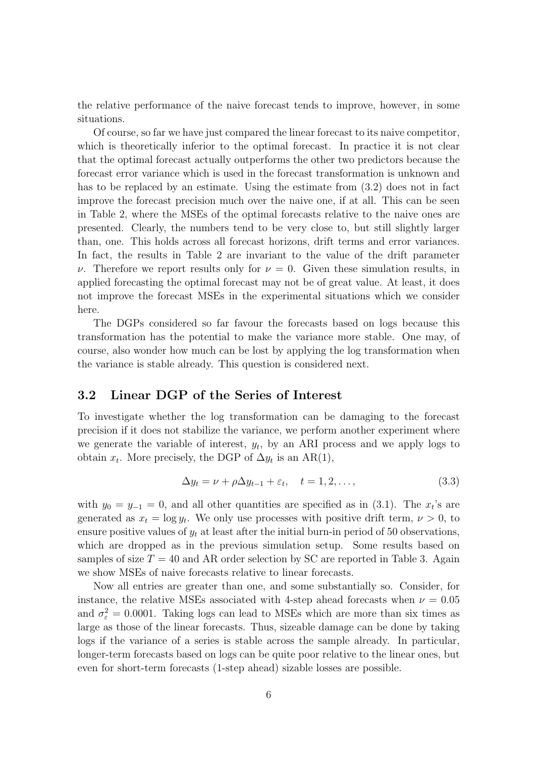the relative performance of the naive forecast tends to improve, however, in some situations.

Of course, so far we have just compared the linear forecast to its naive competitor, which is theoretically inferior to the optimal forecast. In practice it is not clear that the optimal forecast actually outperforms the other two predictors because the forecast error variance which is used in the forecast transformation is unknown and has to be replaced by an estimate. Using the estimate from  $(3.2)$  does not in fact improve the forecast precision much over the naive one, if at all. This can be seen in Table 2, where the MSEs of the optimal forecasts relative to the naive ones are presented. Clearly, the numbers tend to be very close to, but still slightly larger than, one. This holds across all forecast horizons, drift terms and error variances. In fact, the results in Table 2 are invariant to the value of the drift parameter ν. Therefore we report results only for  $ν = 0$ . Given these simulation results, in applied forecasting the optimal forecast may not be of great value. At least, it does not improve the forecast MSEs in the experimental situations which we consider here.

The DGPs considered so far favour the forecasts based on logs because this transformation has the potential to make the variance more stable. One may, of course, also wonder how much can be lost by applying the log transformation when the variance is stable already. This question is considered next.

#### 3.2 Linear DGP of the Series of Interest

To investigate whether the log transformation can be damaging to the forecast precision if it does not stabilize the variance, we perform another experiment where we generate the variable of interest,  $y_t$ , by an ARI process and we apply logs to obtain  $x_t$ . More precisely, the DGP of  $\Delta y_t$  is an AR(1),

$$
\Delta y_t = \nu + \rho \Delta y_{t-1} + \varepsilon_t, \quad t = 1, 2, \dots,
$$
\n(3.3)

with  $y_0 = y_{-1} = 0$ , and all other quantities are specified as in (3.1). The  $x_t$ 's are generated as  $x_t = \log y_t$ . We only use processes with positive drift term,  $\nu > 0$ , to ensure positive values of  $y_t$  at least after the initial burn-in period of 50 observations, which are dropped as in the previous simulation setup. Some results based on samples of size  $T = 40$  and AR order selection by SC are reported in Table 3. Again we show MSEs of naive forecasts relative to linear forecasts.

Now all entries are greater than one, and some substantially so. Consider, for instance, the relative MSEs associated with 4-step ahead forecasts when  $\nu = 0.05$ and  $\sigma_{\varepsilon}^2 = 0.0001$ . Taking logs can lead to MSEs which are more than six times as large as those of the linear forecasts. Thus, sizeable damage can be done by taking logs if the variance of a series is stable across the sample already. In particular, longer-term forecasts based on logs can be quite poor relative to the linear ones, but even for short-term forecasts (1-step ahead) sizable losses are possible.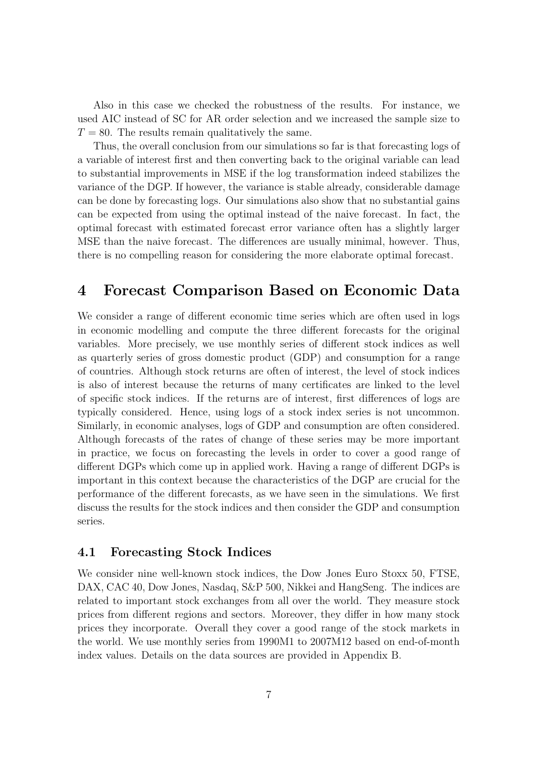Also in this case we checked the robustness of the results. For instance, we used AIC instead of SC for AR order selection and we increased the sample size to  $T = 80$ . The results remain qualitatively the same.

Thus, the overall conclusion from our simulations so far is that forecasting logs of a variable of interest first and then converting back to the original variable can lead to substantial improvements in MSE if the log transformation indeed stabilizes the variance of the DGP. If however, the variance is stable already, considerable damage can be done by forecasting logs. Our simulations also show that no substantial gains can be expected from using the optimal instead of the naive forecast. In fact, the optimal forecast with estimated forecast error variance often has a slightly larger MSE than the naive forecast. The differences are usually minimal, however. Thus, there is no compelling reason for considering the more elaborate optimal forecast.

## 4 Forecast Comparison Based on Economic Data

We consider a range of different economic time series which are often used in logs in economic modelling and compute the three different forecasts for the original variables. More precisely, we use monthly series of different stock indices as well as quarterly series of gross domestic product (GDP) and consumption for a range of countries. Although stock returns are often of interest, the level of stock indices is also of interest because the returns of many certificates are linked to the level of specific stock indices. If the returns are of interest, first differences of logs are typically considered. Hence, using logs of a stock index series is not uncommon. Similarly, in economic analyses, logs of GDP and consumption are often considered. Although forecasts of the rates of change of these series may be more important in practice, we focus on forecasting the levels in order to cover a good range of different DGPs which come up in applied work. Having a range of different DGPs is important in this context because the characteristics of the DGP are crucial for the performance of the different forecasts, as we have seen in the simulations. We first discuss the results for the stock indices and then consider the GDP and consumption series.

#### 4.1 Forecasting Stock Indices

We consider nine well-known stock indices, the Dow Jones Euro Stoxx 50, FTSE, DAX, CAC 40, Dow Jones, Nasdaq, S&P 500, Nikkei and HangSeng. The indices are related to important stock exchanges from all over the world. They measure stock prices from different regions and sectors. Moreover, they differ in how many stock prices they incorporate. Overall they cover a good range of the stock markets in the world. We use monthly series from 1990M1 to 2007M12 based on end-of-month index values. Details on the data sources are provided in Appendix B.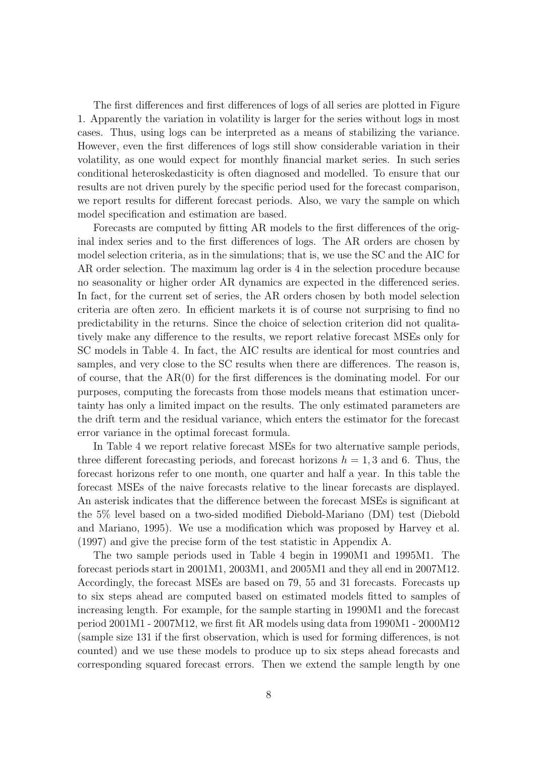The first differences and first differences of logs of all series are plotted in Figure 1. Apparently the variation in volatility is larger for the series without logs in most cases. Thus, using logs can be interpreted as a means of stabilizing the variance. However, even the first differences of logs still show considerable variation in their volatility, as one would expect for monthly financial market series. In such series conditional heteroskedasticity is often diagnosed and modelled. To ensure that our results are not driven purely by the specific period used for the forecast comparison, we report results for different forecast periods. Also, we vary the sample on which model specification and estimation are based.

Forecasts are computed by fitting AR models to the first differences of the original index series and to the first differences of logs. The AR orders are chosen by model selection criteria, as in the simulations; that is, we use the SC and the AIC for AR order selection. The maximum lag order is 4 in the selection procedure because no seasonality or higher order AR dynamics are expected in the differenced series. In fact, for the current set of series, the AR orders chosen by both model selection criteria are often zero. In efficient markets it is of course not surprising to find no predictability in the returns. Since the choice of selection criterion did not qualitatively make any difference to the results, we report relative forecast MSEs only for SC models in Table 4. In fact, the AIC results are identical for most countries and samples, and very close to the SC results when there are differences. The reason is, of course, that the AR(0) for the first differences is the dominating model. For our purposes, computing the forecasts from those models means that estimation uncertainty has only a limited impact on the results. The only estimated parameters are the drift term and the residual variance, which enters the estimator for the forecast error variance in the optimal forecast formula.

In Table 4 we report relative forecast MSEs for two alternative sample periods, three different forecasting periods, and forecast horizons  $h = 1, 3$  and 6. Thus, the forecast horizons refer to one month, one quarter and half a year. In this table the forecast MSEs of the naive forecasts relative to the linear forecasts are displayed. An asterisk indicates that the difference between the forecast MSEs is significant at the 5% level based on a two-sided modified Diebold-Mariano (DM) test (Diebold and Mariano, 1995). We use a modification which was proposed by Harvey et al. (1997) and give the precise form of the test statistic in Appendix A.

The two sample periods used in Table 4 begin in 1990M1 and 1995M1. The forecast periods start in 2001M1, 2003M1, and 2005M1 and they all end in 2007M12. Accordingly, the forecast MSEs are based on 79, 55 and 31 forecasts. Forecasts up to six steps ahead are computed based on estimated models fitted to samples of increasing length. For example, for the sample starting in 1990M1 and the forecast period 2001M1 - 2007M12, we first fit AR models using data from 1990M1 - 2000M12 (sample size 131 if the first observation, which is used for forming differences, is not counted) and we use these models to produce up to six steps ahead forecasts and corresponding squared forecast errors. Then we extend the sample length by one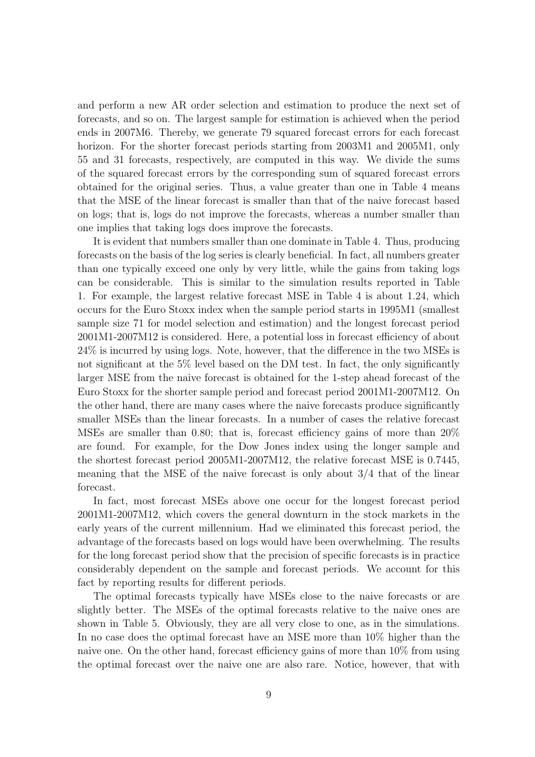and perform a new AR order selection and estimation to produce the next set of forecasts, and so on. The largest sample for estimation is achieved when the period ends in 2007M6. Thereby, we generate 79 squared forecast errors for each forecast horizon. For the shorter forecast periods starting from 2003M1 and 2005M1, only 55 and 31 forecasts, respectively, are computed in this way. We divide the sums of the squared forecast errors by the corresponding sum of squared forecast errors obtained for the original series. Thus, a value greater than one in Table 4 means that the MSE of the linear forecast is smaller than that of the naive forecast based on logs; that is, logs do not improve the forecasts, whereas a number smaller than one implies that taking logs does improve the forecasts.

It is evident that numbers smaller than one dominate in Table 4. Thus, producing forecasts on the basis of the log series is clearly beneficial. In fact, all numbers greater than one typically exceed one only by very little, while the gains from taking logs can be considerable. This is similar to the simulation results reported in Table 1. For example, the largest relative forecast MSE in Table 4 is about 1.24, which occurs for the Euro Stoxx index when the sample period starts in 1995M1 (smallest sample size 71 for model selection and estimation) and the longest forecast period 2001M1-2007M12 is considered. Here, a potential loss in forecast efficiency of about 24% is incurred by using logs. Note, however, that the difference in the two MSEs is not significant at the 5% level based on the DM test. In fact, the only significantly larger MSE from the naive forecast is obtained for the 1-step ahead forecast of the Euro Stoxx for the shorter sample period and forecast period 2001M1-2007M12. On the other hand, there are many cases where the naive forecasts produce significantly smaller MSEs than the linear forecasts. In a number of cases the relative forecast MSEs are smaller than 0.80; that is, forecast efficiency gains of more than 20% are found. For example, for the Dow Jones index using the longer sample and the shortest forecast period 2005M1-2007M12, the relative forecast MSE is 0.7445, meaning that the MSE of the naive forecast is only about 3/4 that of the linear forecast.

In fact, most forecast MSEs above one occur for the longest forecast period 2001M1-2007M12, which covers the general downturn in the stock markets in the early years of the current millennium. Had we eliminated this forecast period, the advantage of the forecasts based on logs would have been overwhelming. The results for the long forecast period show that the precision of specific forecasts is in practice considerably dependent on the sample and forecast periods. We account for this fact by reporting results for different periods.

The optimal forecasts typically have MSEs close to the naive forecasts or are slightly better. The MSEs of the optimal forecasts relative to the naive ones are shown in Table 5. Obviously, they are all very close to one, as in the simulations. In no case does the optimal forecast have an MSE more than 10% higher than the naive one. On the other hand, forecast efficiency gains of more than 10% from using the optimal forecast over the naive one are also rare. Notice, however, that with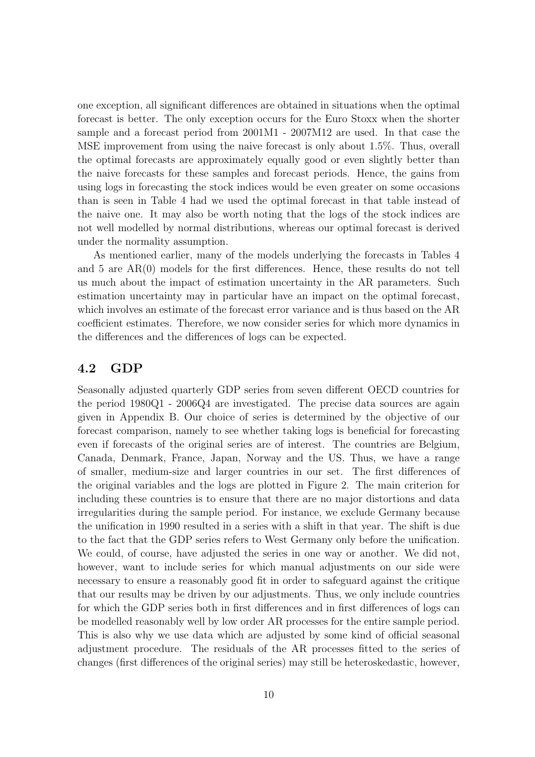one exception, all significant differences are obtained in situations when the optimal forecast is better. The only exception occurs for the Euro Stoxx when the shorter sample and a forecast period from 2001M1 - 2007M12 are used. In that case the MSE improvement from using the naive forecast is only about 1.5%. Thus, overall the optimal forecasts are approximately equally good or even slightly better than the naive forecasts for these samples and forecast periods. Hence, the gains from using logs in forecasting the stock indices would be even greater on some occasions than is seen in Table 4 had we used the optimal forecast in that table instead of the naive one. It may also be worth noting that the logs of the stock indices are not well modelled by normal distributions, whereas our optimal forecast is derived under the normality assumption.

As mentioned earlier, many of the models underlying the forecasts in Tables 4 and 5 are AR(0) models for the first differences. Hence, these results do not tell us much about the impact of estimation uncertainty in the AR parameters. Such estimation uncertainty may in particular have an impact on the optimal forecast, which involves an estimate of the forecast error variance and is thus based on the AR coefficient estimates. Therefore, we now consider series for which more dynamics in the differences and the differences of logs can be expected.

## 4.2 GDP

Seasonally adjusted quarterly GDP series from seven different OECD countries for the period 1980Q1 - 2006Q4 are investigated. The precise data sources are again given in Appendix B. Our choice of series is determined by the objective of our forecast comparison, namely to see whether taking logs is beneficial for forecasting even if forecasts of the original series are of interest. The countries are Belgium, Canada, Denmark, France, Japan, Norway and the US. Thus, we have a range of smaller, medium-size and larger countries in our set. The first differences of the original variables and the logs are plotted in Figure 2. The main criterion for including these countries is to ensure that there are no major distortions and data irregularities during the sample period. For instance, we exclude Germany because the unification in 1990 resulted in a series with a shift in that year. The shift is due to the fact that the GDP series refers to West Germany only before the unification. We could, of course, have adjusted the series in one way or another. We did not, however, want to include series for which manual adjustments on our side were necessary to ensure a reasonably good fit in order to safeguard against the critique that our results may be driven by our adjustments. Thus, we only include countries for which the GDP series both in first differences and in first differences of logs can be modelled reasonably well by low order AR processes for the entire sample period. This is also why we use data which are adjusted by some kind of official seasonal adjustment procedure. The residuals of the AR processes fitted to the series of changes (first differences of the original series) may still be heteroskedastic, however,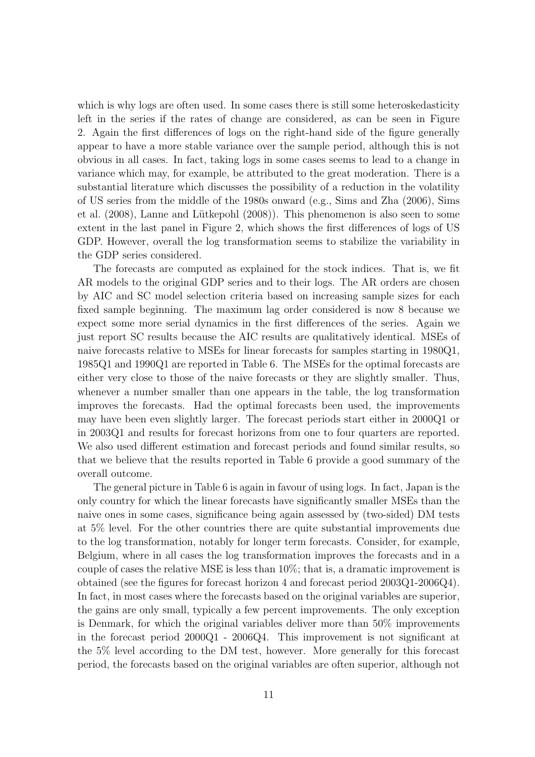which is why logs are often used. In some cases there is still some heteroskedasticity left in the series if the rates of change are considered, as can be seen in Figure 2. Again the first differences of logs on the right-hand side of the figure generally appear to have a more stable variance over the sample period, although this is not obvious in all cases. In fact, taking logs in some cases seems to lead to a change in variance which may, for example, be attributed to the great moderation. There is a substantial literature which discusses the possibility of a reduction in the volatility of US series from the middle of the 1980s onward (e.g., Sims and Zha (2006), Sims et al. (2008), Lanne and Lütkepohl (2008)). This phenomenon is also seen to some extent in the last panel in Figure 2, which shows the first differences of logs of US GDP. However, overall the log transformation seems to stabilize the variability in the GDP series considered.

The forecasts are computed as explained for the stock indices. That is, we fit AR models to the original GDP series and to their logs. The AR orders are chosen by AIC and SC model selection criteria based on increasing sample sizes for each fixed sample beginning. The maximum lag order considered is now 8 because we expect some more serial dynamics in the first differences of the series. Again we just report SC results because the AIC results are qualitatively identical. MSEs of naive forecasts relative to MSEs for linear forecasts for samples starting in 1980Q1, 1985Q1 and 1990Q1 are reported in Table 6. The MSEs for the optimal forecasts are either very close to those of the naive forecasts or they are slightly smaller. Thus, whenever a number smaller than one appears in the table, the log transformation improves the forecasts. Had the optimal forecasts been used, the improvements may have been even slightly larger. The forecast periods start either in 2000Q1 or in 2003Q1 and results for forecast horizons from one to four quarters are reported. We also used different estimation and forecast periods and found similar results, so that we believe that the results reported in Table 6 provide a good summary of the overall outcome.

The general picture in Table 6 is again in favour of using logs. In fact, Japan is the only country for which the linear forecasts have significantly smaller MSEs than the naive ones in some cases, significance being again assessed by (two-sided) DM tests at 5% level. For the other countries there are quite substantial improvements due to the log transformation, notably for longer term forecasts. Consider, for example, Belgium, where in all cases the log transformation improves the forecasts and in a couple of cases the relative MSE is less than 10%; that is, a dramatic improvement is obtained (see the figures for forecast horizon 4 and forecast period 2003Q1-2006Q4). In fact, in most cases where the forecasts based on the original variables are superior, the gains are only small, typically a few percent improvements. The only exception is Denmark, for which the original variables deliver more than 50% improvements in the forecast period 2000Q1 - 2006Q4. This improvement is not significant at the 5% level according to the DM test, however. More generally for this forecast period, the forecasts based on the original variables are often superior, although not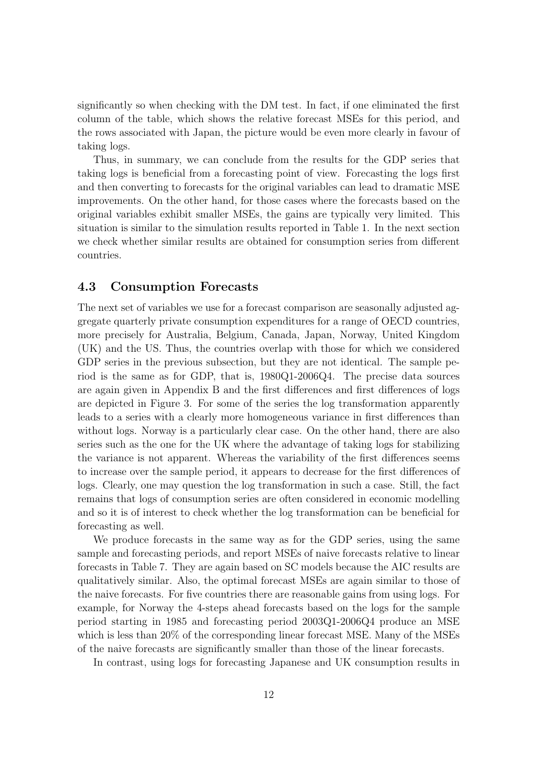significantly so when checking with the DM test. In fact, if one eliminated the first column of the table, which shows the relative forecast MSEs for this period, and the rows associated with Japan, the picture would be even more clearly in favour of taking logs.

Thus, in summary, we can conclude from the results for the GDP series that taking logs is beneficial from a forecasting point of view. Forecasting the logs first and then converting to forecasts for the original variables can lead to dramatic MSE improvements. On the other hand, for those cases where the forecasts based on the original variables exhibit smaller MSEs, the gains are typically very limited. This situation is similar to the simulation results reported in Table 1. In the next section we check whether similar results are obtained for consumption series from different countries.

#### 4.3 Consumption Forecasts

The next set of variables we use for a forecast comparison are seasonally adjusted aggregate quarterly private consumption expenditures for a range of OECD countries, more precisely for Australia, Belgium, Canada, Japan, Norway, United Kingdom (UK) and the US. Thus, the countries overlap with those for which we considered GDP series in the previous subsection, but they are not identical. The sample period is the same as for GDP, that is, 1980Q1-2006Q4. The precise data sources are again given in Appendix B and the first differences and first differences of logs are depicted in Figure 3. For some of the series the log transformation apparently leads to a series with a clearly more homogeneous variance in first differences than without logs. Norway is a particularly clear case. On the other hand, there are also series such as the one for the UK where the advantage of taking logs for stabilizing the variance is not apparent. Whereas the variability of the first differences seems to increase over the sample period, it appears to decrease for the first differences of logs. Clearly, one may question the log transformation in such a case. Still, the fact remains that logs of consumption series are often considered in economic modelling and so it is of interest to check whether the log transformation can be beneficial for forecasting as well.

We produce forecasts in the same way as for the GDP series, using the same sample and forecasting periods, and report MSEs of naive forecasts relative to linear forecasts in Table 7. They are again based on SC models because the AIC results are qualitatively similar. Also, the optimal forecast MSEs are again similar to those of the naive forecasts. For five countries there are reasonable gains from using logs. For example, for Norway the 4-steps ahead forecasts based on the logs for the sample period starting in 1985 and forecasting period 2003Q1-2006Q4 produce an MSE which is less than 20% of the corresponding linear forecast MSE. Many of the MSEs of the naive forecasts are significantly smaller than those of the linear forecasts.

In contrast, using logs for forecasting Japanese and UK consumption results in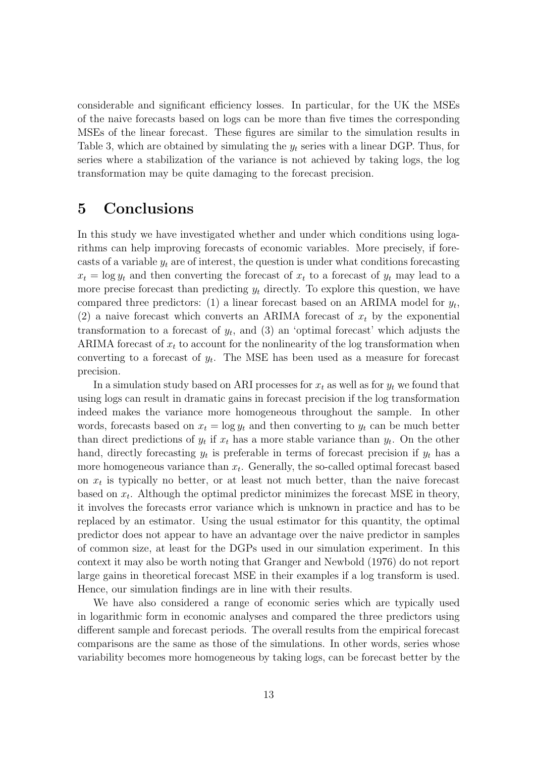considerable and significant efficiency losses. In particular, for the UK the MSEs of the naive forecasts based on logs can be more than five times the corresponding MSEs of the linear forecast. These figures are similar to the simulation results in Table 3, which are obtained by simulating the  $y_t$  series with a linear DGP. Thus, for series where a stabilization of the variance is not achieved by taking logs, the log transformation may be quite damaging to the forecast precision.

## 5 Conclusions

In this study we have investigated whether and under which conditions using logarithms can help improving forecasts of economic variables. More precisely, if forecasts of a variable  $y_t$  are of interest, the question is under what conditions forecasting  $x_t = \log y_t$  and then converting the forecast of  $x_t$  to a forecast of  $y_t$  may lead to a more precise forecast than predicting  $y_t$  directly. To explore this question, we have compared three predictors: (1) a linear forecast based on an ARIMA model for  $y_t$ , (2) a naive forecast which converts an ARIMA forecast of  $x_t$  by the exponential transformation to a forecast of  $y_t$ , and (3) an 'optimal forecast' which adjusts the ARIMA forecast of  $x_t$  to account for the nonlinearity of the log transformation when converting to a forecast of  $y_t$ . The MSE has been used as a measure for forecast precision.

In a simulation study based on ARI processes for  $x_t$  as well as for  $y_t$  we found that using logs can result in dramatic gains in forecast precision if the log transformation indeed makes the variance more homogeneous throughout the sample. In other words, forecasts based on  $x_t = \log y_t$  and then converting to  $y_t$  can be much better than direct predictions of  $y_t$  if  $x_t$  has a more stable variance than  $y_t$ . On the other hand, directly forecasting  $y_t$  is preferable in terms of forecast precision if  $y_t$  has a more homogeneous variance than  $x_t$ . Generally, the so-called optimal forecast based on  $x_t$  is typically no better, or at least not much better, than the naive forecast based on  $x_t$ . Although the optimal predictor minimizes the forecast MSE in theory, it involves the forecasts error variance which is unknown in practice and has to be replaced by an estimator. Using the usual estimator for this quantity, the optimal predictor does not appear to have an advantage over the naive predictor in samples of common size, at least for the DGPs used in our simulation experiment. In this context it may also be worth noting that Granger and Newbold (1976) do not report large gains in theoretical forecast MSE in their examples if a log transform is used. Hence, our simulation findings are in line with their results.

We have also considered a range of economic series which are typically used in logarithmic form in economic analyses and compared the three predictors using different sample and forecast periods. The overall results from the empirical forecast comparisons are the same as those of the simulations. In other words, series whose variability becomes more homogeneous by taking logs, can be forecast better by the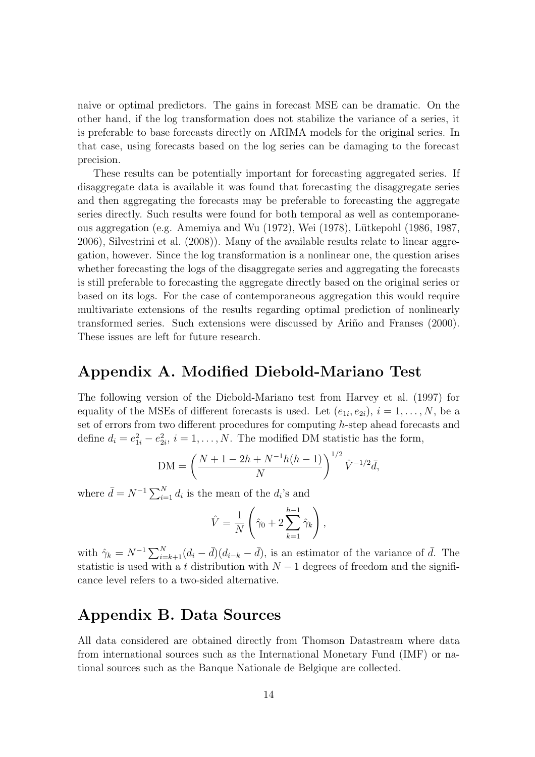naive or optimal predictors. The gains in forecast MSE can be dramatic. On the other hand, if the log transformation does not stabilize the variance of a series, it is preferable to base forecasts directly on ARIMA models for the original series. In that case, using forecasts based on the log series can be damaging to the forecast precision.

These results can be potentially important for forecasting aggregated series. If disaggregate data is available it was found that forecasting the disaggregate series and then aggregating the forecasts may be preferable to forecasting the aggregate series directly. Such results were found for both temporal as well as contemporaneous aggregation (e.g. Amemiya and Wu (1972), Wei (1978), Lütkepohl (1986, 1987, 2006), Silvestrini et al. (2008)). Many of the available results relate to linear aggregation, however. Since the log transformation is a nonlinear one, the question arises whether forecasting the logs of the disaggregate series and aggregating the forecasts is still preferable to forecasting the aggregate directly based on the original series or based on its logs. For the case of contemporaneous aggregation this would require multivariate extensions of the results regarding optimal prediction of nonlinearly transformed series. Such extensions were discussed by Ariño and Franses (2000). These issues are left for future research.

# Appendix A. Modified Diebold-Mariano Test

The following version of the Diebold-Mariano test from Harvey et al. (1997) for equality of the MSEs of different forecasts is used. Let  $(e_{1i}, e_{2i}), i = 1, \ldots, N$ , be a set of errors from two different procedures for computing h-step ahead forecasts and define  $d_i = e_{1i}^2 - e_{2i}^2$ ,  $i = 1, ..., N$ . The modified DM statistic has the form,

$$
DM = \left(\frac{N+1-2h+N^{-1}h(h-1)}{N}\right)^{1/2}\hat{V}^{-1/2}\bar{d},
$$

where  $\bar{d} = N^{-1} \sum_{i=1}^{N} d_i$  is the mean of the  $d_i$ 's and

$$
\hat{V} = \frac{1}{N} \left( \hat{\gamma}_0 + 2 \sum_{k=1}^{h-1} \hat{\gamma}_k \right),
$$

with  $\hat{\gamma}_k = N^{-1} \sum_{i=k+1}^N (d_i - \bar{d})(d_{i-k} - \bar{d})$ , is an estimator of the variance of  $\bar{d}$ . The statistic is used with a t distribution with  $N-1$  degrees of freedom and the significance level refers to a two-sided alternative.

# Appendix B. Data Sources

All data considered are obtained directly from Thomson Datastream where data from international sources such as the International Monetary Fund (IMF) or national sources such as the Banque Nationale de Belgique are collected.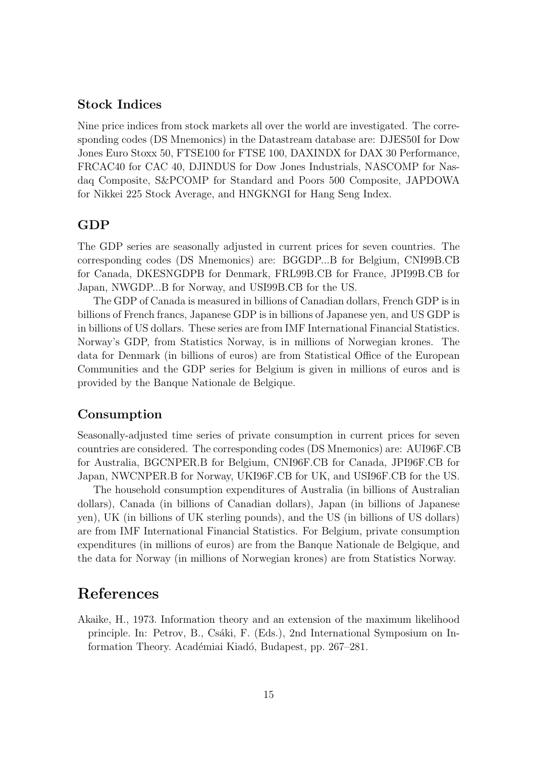## Stock Indices

Nine price indices from stock markets all over the world are investigated. The corresponding codes (DS Mnemonics) in the Datastream database are: DJES50I for Dow Jones Euro Stoxx 50, FTSE100 for FTSE 100, DAXINDX for DAX 30 Performance, FRCAC40 for CAC 40, DJINDUS for Dow Jones Industrials, NASCOMP for Nasdaq Composite, S&PCOMP for Standard and Poors 500 Composite, JAPDOWA for Nikkei 225 Stock Average, and HNGKNGI for Hang Seng Index.

#### GDP

The GDP series are seasonally adjusted in current prices for seven countries. The corresponding codes (DS Mnemonics) are: BGGDP...B for Belgium, CNI99B.CB for Canada, DKESNGDPB for Denmark, FRL99B.CB for France, JPI99B.CB for Japan, NWGDP...B for Norway, and USI99B.CB for the US.

The GDP of Canada is measured in billions of Canadian dollars, French GDP is in billions of French francs, Japanese GDP is in billions of Japanese yen, and US GDP is in billions of US dollars. These series are from IMF International Financial Statistics. Norway's GDP, from Statistics Norway, is in millions of Norwegian krones. The data for Denmark (in billions of euros) are from Statistical Office of the European Communities and the GDP series for Belgium is given in millions of euros and is provided by the Banque Nationale de Belgique.

## Consumption

Seasonally-adjusted time series of private consumption in current prices for seven countries are considered. The corresponding codes (DS Mnemonics) are: AUI96F.CB for Australia, BGCNPER.B for Belgium, CNI96F.CB for Canada, JPI96F.CB for Japan, NWCNPER.B for Norway, UKI96F.CB for UK, and USI96F.CB for the US.

The household consumption expenditures of Australia (in billions of Australian dollars), Canada (in billions of Canadian dollars), Japan (in billions of Japanese yen), UK (in billions of UK sterling pounds), and the US (in billions of US dollars) are from IMF International Financial Statistics. For Belgium, private consumption expenditures (in millions of euros) are from the Banque Nationale de Belgique, and the data for Norway (in millions of Norwegian krones) are from Statistics Norway.

## References

Akaike, H., 1973. Information theory and an extension of the maximum likelihood principle. In: Petrov, B., Csáki, F. (Eds.), 2nd International Symposium on Information Theory. Académiai Kiadó, Budapest, pp. 267–281.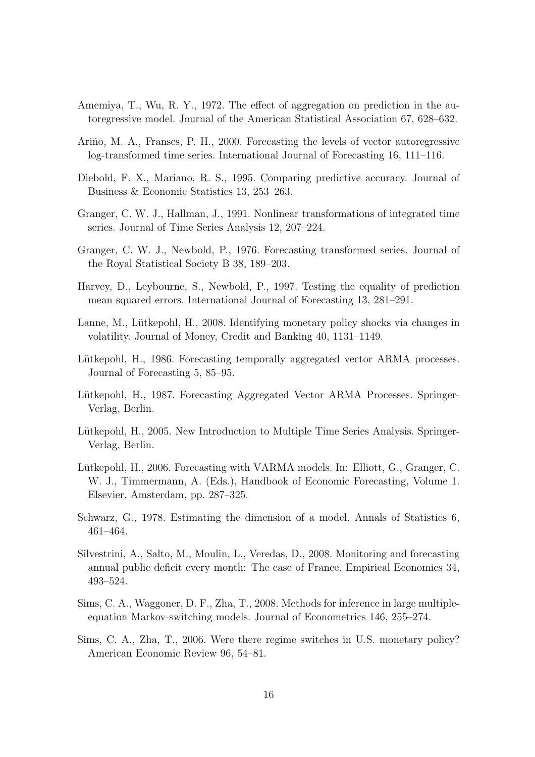- Amemiya, T., Wu, R. Y., 1972. The effect of aggregation on prediction in the autoregressive model. Journal of the American Statistical Association 67, 628–632.
- Ariño, M. A., Franses, P. H., 2000. Forecasting the levels of vector autoregressive log-transformed time series. International Journal of Forecasting 16, 111–116.
- Diebold, F. X., Mariano, R. S., 1995. Comparing predictive accuracy. Journal of Business & Economic Statistics 13, 253–263.
- Granger, C. W. J., Hallman, J., 1991. Nonlinear transformations of integrated time series. Journal of Time Series Analysis 12, 207–224.
- Granger, C. W. J., Newbold, P., 1976. Forecasting transformed series. Journal of the Royal Statistical Society B 38, 189–203.
- Harvey, D., Leybourne, S., Newbold, P., 1997. Testing the equality of prediction mean squared errors. International Journal of Forecasting 13, 281–291.
- Lanne, M., Lütkepohl, H., 2008. Identifying monetary policy shocks via changes in volatility. Journal of Money, Credit and Banking 40, 1131–1149.
- Lütkepohl, H., 1986. Forecasting temporally aggregated vector ARMA processes. Journal of Forecasting 5, 85–95.
- Lütkepohl, H., 1987. Forecasting Aggregated Vector ARMA Processes. Springer-Verlag, Berlin.
- Lütkepohl, H., 2005. New Introduction to Multiple Time Series Analysis. Springer-Verlag, Berlin.
- Lütkepohl, H., 2006. Forecasting with VARMA models. In: Elliott, G., Granger, C. W. J., Timmermann, A. (Eds.), Handbook of Economic Forecasting, Volume 1. Elsevier, Amsterdam, pp. 287–325.
- Schwarz, G., 1978. Estimating the dimension of a model. Annals of Statistics 6, 461–464.
- Silvestrini, A., Salto, M., Moulin, L., Veredas, D., 2008. Monitoring and forecasting annual public deficit every month: The case of France. Empirical Economics 34, 493–524.
- Sims, C. A., Waggoner, D. F., Zha, T., 2008. Methods for inference in large multipleequation Markov-switching models. Journal of Econometrics 146, 255–274.
- Sims, C. A., Zha, T., 2006. Were there regime switches in U.S. monetary policy? American Economic Review 96, 54–81.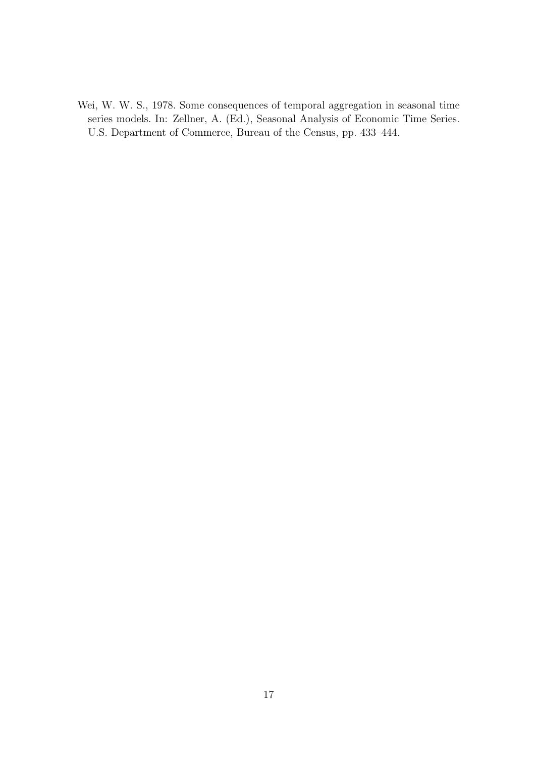Wei, W. W. S., 1978. Some consequences of temporal aggregation in seasonal time series models. In: Zellner, A. (Ed.), Seasonal Analysis of Economic Time Series. U.S. Department of Commerce, Bureau of the Census, pp. 433–444.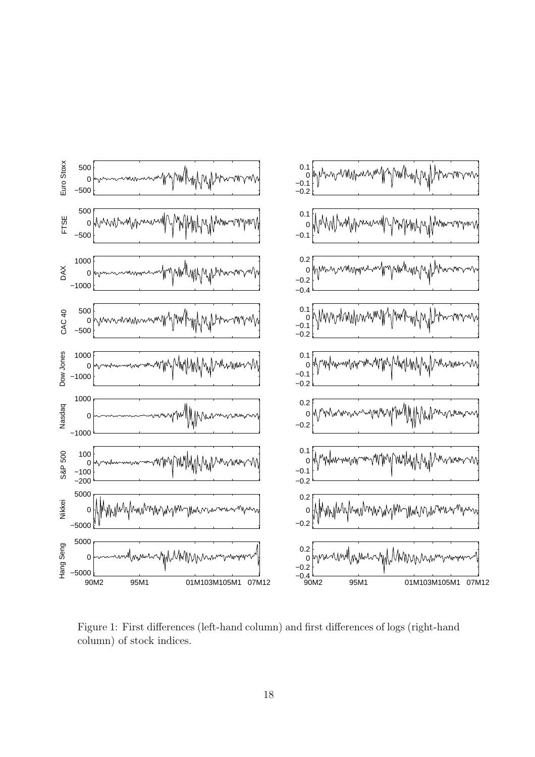

Figure 1: First differences (left-hand column) and first differences of logs (right-hand column) of stock indices.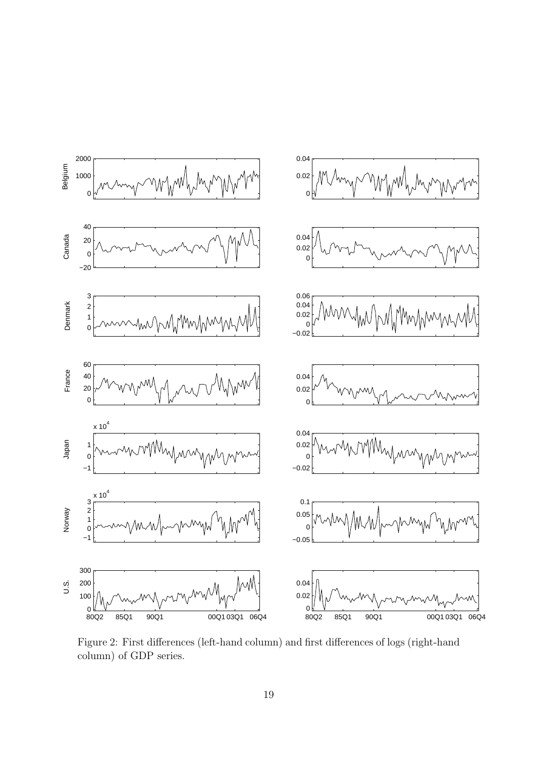

Figure 2: First differences (left-hand column) and first differences of logs (right-hand column) of GDP series.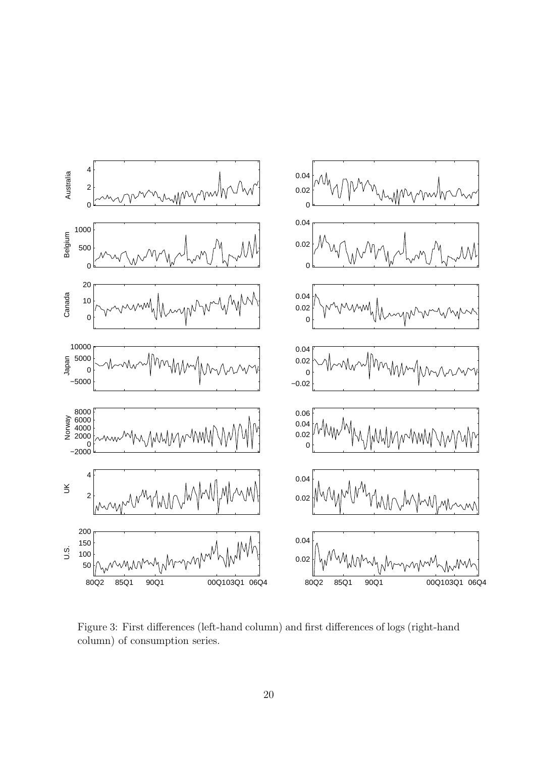

Figure 3: First differences (left-hand column) and first differences of logs (right-hand column) of consumption series.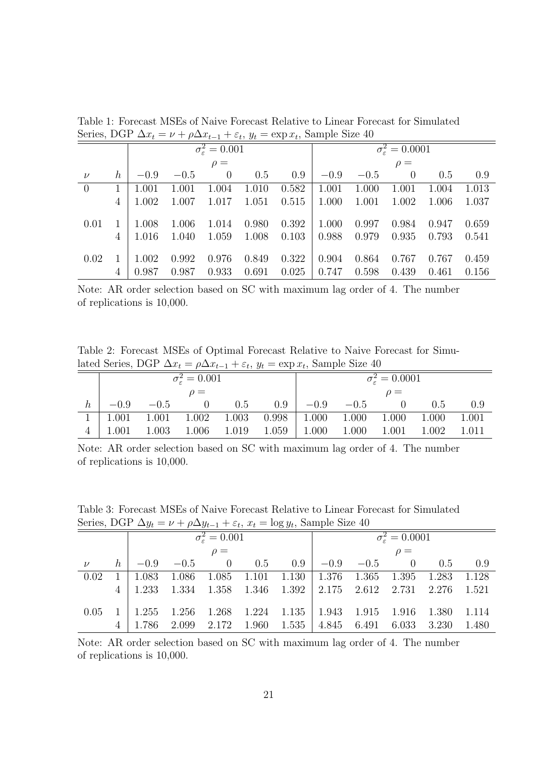| belies, DOI $\Delta x_t - \nu + \rho \Delta x_{t-1} + c_t$ , $y_t - \alpha \rho x_t$ , Sample blact to |         |          |        |                                             |       |                             |        |          |          |       |       |  |
|--------------------------------------------------------------------------------------------------------|---------|----------|--------|---------------------------------------------|-------|-----------------------------|--------|----------|----------|-------|-------|--|
|                                                                                                        |         |          |        | $\overline{\sigma_{\varepsilon}^2} = 0.001$ |       | $\sigma_{\rm s}^2 = 0.0001$ |        |          |          |       |       |  |
|                                                                                                        |         | $\rho =$ |        |                                             |       |                             |        | $\rho =$ |          |       |       |  |
| $\nu$                                                                                                  | $\hbar$ | $-0.9$   | $-0.5$ | $\Omega$                                    | 0.5   | 0.9                         | $-0.9$ | $-0.5$   | $\Omega$ | 0.5   | 0.9   |  |
| $\overline{0}$                                                                                         |         | 1.001    | 1.001  | 1.004                                       | 1.010 | 0.582                       | 1.001  | 1.000    | 1.001    | 1.004 | 1.013 |  |
|                                                                                                        | 4       | 1.002    | 1.007  | 1.017                                       | 1.051 | 0.515                       | 1.000  | 1.001    | 1.002    | 1.006 | 1.037 |  |
|                                                                                                        |         |          |        |                                             |       |                             |        |          |          |       |       |  |
| 0.01                                                                                                   |         | 1.008    | 1.006  | 1.014                                       | 0.980 | 0.392                       | 1.000  | 0.997    | 0.984    | 0.947 | 0.659 |  |
|                                                                                                        |         | 1.016    | 1.040  | 1.059                                       | 1.008 | 0.103                       | 0.988  | 0.979    | 0.935    | 0.793 | 0.541 |  |
|                                                                                                        |         |          |        |                                             |       |                             |        |          |          |       |       |  |
| 0.02                                                                                                   |         | 1.002    | 0.992  | 0.976                                       | 0.849 | 0.322                       | 0.904  | 0.864    | 0.767    | 0.767 | 0.459 |  |
|                                                                                                        |         | 0.987    | 0.987  | 0.933                                       | 0.691 | 0.025                       | 0.747  | 0.598    | 0.439    | 0.461 | 0.156 |  |

Table 1: Forecast MSEs of Naive Forecast Relative to Linear Forecast for Simulated Series, DGP  $\Delta x_t = \nu + \rho \Delta x_{t-1} + \varepsilon_t$ ,  $y_t = \exp x_t$ , Sample Size 40

Note: AR order selection based on SC with maximum lag order of 4. The number of replications is 10,000.

Table 2: Forecast MSEs of Optimal Forecast Relative to Naive Forecast for Simulated Series, DGP  $\Delta x_t = \rho \Delta x_{t-1} + \varepsilon_t$ ,  $y_t = \exp x_t$ , Sample Size 40

| <u>.</u> .                      |        |                  |       |       |        |                             |       |       |       |  |  |
|---------------------------------|--------|------------------|-------|-------|--------|-----------------------------|-------|-------|-------|--|--|
| $\sigma_{\rm c}^2 = 0.001$      |        |                  |       |       |        | $\sigma_{\rm s}^2 = 0.0001$ |       |       |       |  |  |
| $\rho =$                        |        |                  |       |       |        | $\rho =$                    |       |       |       |  |  |
| $-0.9$                          | $-0.5$ | $\left( \right)$ | 0.5   | 0.9   | $-0.9$ | $-0.5$                      |       | 0.5   | 0.9   |  |  |
| 1.001                           | 1.001  | 1.002            | 1.003 | 0.998 | 1.000  | 1.000                       | 1.000 | 1.000 | 1.001 |  |  |
| $^{\text{\tiny{\text{1}}}}.001$ | 1.003  | 1.006            | 1.019 | 1.059 | 1.000  | 1.000                       | 1.001 | 1.002 | 1.011 |  |  |

Note: AR order selection based on SC with maximum lag order of 4. The number of replications is 10,000.

|                  | $50 - 100, 200$<br>$\mu = \mu - 1 + \nu$ , $\omega_{\ell} = \mu - 1$ |                            |  |  |  |                                                                                                                           |          |                             |  |             |     |  |
|------------------|----------------------------------------------------------------------|----------------------------|--|--|--|---------------------------------------------------------------------------------------------------------------------------|----------|-----------------------------|--|-------------|-----|--|
|                  |                                                                      | $\sigma_{\rm c}^2 = 0.001$ |  |  |  |                                                                                                                           |          | $\sigma_{\rm s}^2 = 0.0001$ |  |             |     |  |
|                  |                                                                      | $\rho =$                   |  |  |  |                                                                                                                           | $\rho =$ |                             |  |             |     |  |
| $\overline{\nu}$ |                                                                      | $h \perp -0.9$             |  |  |  | $-0.5$ 0 0.5 0.9 $-0.9$ $-0.5$ 0                                                                                          |          |                             |  | 0.5         | 0.9 |  |
| 0.02             |                                                                      | $1 \mid 1.083$             |  |  |  | $1.086$ $1.085$ $1.101$ $1.130$   $1.376$ $1.365$ $1.395$ $1.283$ $1.128$                                                 |          |                             |  |             |     |  |
|                  |                                                                      |                            |  |  |  | $4 \mid 1.233 \quad 1.334 \quad 1.358 \quad 1.346 \quad 1.392 \mid 2.175 \quad 2.612 \quad 2.731 \quad 2.276 \quad 1.521$ |          |                             |  |             |     |  |
|                  |                                                                      | $0.05 \quad 1 \mid 1.255$  |  |  |  | $1.256$ $1.268$ $1.224$ $1.135$ $1.943$ $1.915$ $1.916$                                                                   |          |                             |  | 1.380 1.114 |     |  |
|                  |                                                                      |                            |  |  |  | 1.786 2.099 2.172 1.960 1.535   4.845 6.491 6.033 3.230 1.480                                                             |          |                             |  |             |     |  |

Table 3: Forecast MSEs of Naive Forecast Relative to Linear Forecast for Simulated Series, DGP  $\Delta y_t = \nu + \rho \Delta y_{t-1} + \varepsilon_t$ ,  $x_t = \log y_t$ , Sample Size 40

Note: AR order selection based on SC with maximum lag order of 4. The number of replications is 10,000.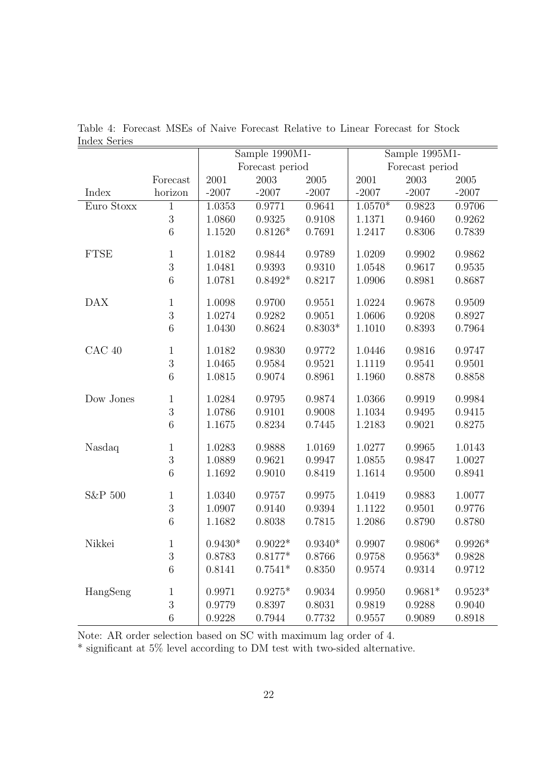|             |              |           | Sample 1990M1-  |           | Sample 1995M1-  |           |           |  |
|-------------|--------------|-----------|-----------------|-----------|-----------------|-----------|-----------|--|
|             |              |           | Forecast period |           | Forecast period |           |           |  |
|             | Forecast     | 2001      | 2003            | 2005      | 2001            | 2003      | 2005      |  |
| Index       | horizon      | $-2007$   | $-2007$         | $-2007$   | $-2007$         | $-2007$   | $-2007$   |  |
| Euro Stoxx  | $\mathbf 1$  | 1.0353    | 0.9771          | 0.9641    | $1.0570*$       | 0.9823    | 0.9706    |  |
|             | $\sqrt{3}$   | 1.0860    | 0.9325          | 0.9108    | 1.1371          | 0.9460    | 0.9262    |  |
|             | $\,$ 6 $\,$  | 1.1520    | $0.8126*$       | 0.7691    | 1.2417          | 0.8306    | 0.7839    |  |
| <b>FTSE</b> | 1            | 1.0182    | 0.9844          | 0.9789    | 1.0209          | 0.9902    | 0.9862    |  |
|             | 3            | 1.0481    | 0.9393          | 0.9310    | 1.0548          | 0.9617    | 0.9535    |  |
|             | $\,$ 6 $\,$  | 1.0781    | $0.8492*$       | 0.8217    | 1.0906          | 0.8981    | 0.8687    |  |
| <b>DAX</b>  | $\mathbf 1$  | 1.0098    | 0.9700          | 0.9551    | 1.0224          | 0.9678    | 0.9509    |  |
|             | $\sqrt{3}$   | 1.0274    | 0.9282          | 0.9051    | 1.0606          | 0.9208    | 0.8927    |  |
|             | $\,6$        | 1.0430    | 0.8624          | $0.8303*$ | 1.1010          | 0.8393    | 0.7964    |  |
| $CAC$ 40    | $\mathbf 1$  | 1.0182    | 0.9830          | 0.9772    | 1.0446          | 0.9816    | 0.9747    |  |
|             | $\sqrt{3}$   | 1.0465    | 0.9584          | 0.9521    | 1.1119          | 0.9541    | 0.9501    |  |
|             | $\,$ 6 $\,$  | 1.0815    | 0.9074          | 0.8961    | 1.1960          | 0.8878    | 0.8858    |  |
| Dow Jones   | $\mathbf 1$  | 1.0284    | 0.9795          | 0.9874    | 1.0366          | 0.9919    | 0.9984    |  |
|             | $\sqrt{3}$   | 1.0786    | 0.9101          | 0.9008    | 1.1034          | 0.9495    | 0.9415    |  |
|             | $\,6$        | 1.1675    | 0.8234          | 0.7445    | 1.2183          | 0.9021    | 0.8275    |  |
| Nasdaq      | $\mathbf 1$  | 1.0283    | 0.9888          | 1.0169    | 1.0277          | 0.9965    | 1.0143    |  |
|             | $\sqrt{3}$   | 1.0889    | 0.9621          | 0.9947    | 1.0855          | 0.9847    | 1.0027    |  |
|             | $\,6$        | 1.1692    | 0.9010          | 0.8419    | 1.1614          | 0.9500    | 0.8941    |  |
| S&P 500     | $\mathbf 1$  | 1.0340    | 0.9757          | 0.9975    | 1.0419          | 0.9883    | 1.0077    |  |
|             | $\sqrt{3}$   | 1.0907    | 0.9140          | 0.9394    | 1.1122          | 0.9501    | 0.9776    |  |
|             | $\,6$        | 1.1682    | 0.8038          | 0.7815    | 1.2086          | 0.8790    | 0.8780    |  |
| Nikkei      | $\mathbf{1}$ | $0.9430*$ | $0.9022*$       | $0.9340*$ | 0.9907          | $0.9806*$ | $0.9926*$ |  |
|             | $\sqrt{3}$   | 0.8783    | $0.8177*$       | 0.8766    | 0.9758          | $0.9563*$ | 0.9828    |  |
|             | $\,6$        | 0.8141    | $0.7541*$       | 0.8350    | 0.9574          | 0.9314    | 0.9712    |  |
| HangSeng    | 1            | 0.9971    | $0.9275*$       | 0.9034    | 0.9950          | $0.9681*$ | $0.9523*$ |  |
|             | $\sqrt{3}$   | 0.9779    | 0.8397          | 0.8031    | 0.9819          | 0.9288    | 0.9040    |  |
|             | $\,6$        | 0.9228    | 0.7944          | 0.7732    | 0.9557          | 0.9089    | 0.8918    |  |

Table 4: Forecast MSEs of Naive Forecast Relative to Linear Forecast for Stock Index Series

Note: AR order selection based on SC with maximum lag order of 4.

\* significant at 5% level according to DM test with two-sided alternative.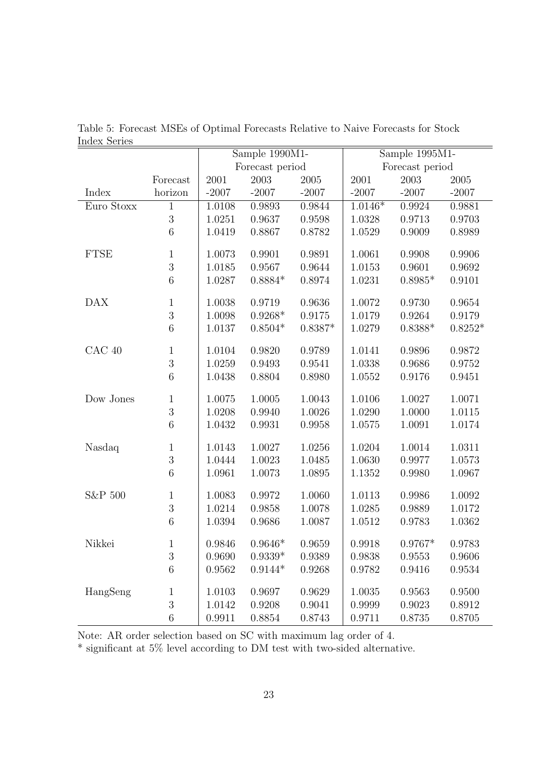| under pene  |                |         | Sample 1990M1-  |            | Sample 1995M1-  |           |           |  |
|-------------|----------------|---------|-----------------|------------|-----------------|-----------|-----------|--|
|             |                |         | Forecast period |            | Forecast period |           |           |  |
|             | Forecast       | 2001    | 2003            | 2005       | 2001            | 2003      | 2005      |  |
| Index       | horizon        | $-2007$ | $-2007$         | $-2007$    | $-2007$         | $-2007$   | $-2007$   |  |
| Euro Stoxx  | $\mathbf{1}$   | 1.0108  | 0.9893          | 0.9844     | $1.0146*$       | 0.9924    | 0.9881    |  |
|             | 3              | 1.0251  | 0.9637          | 0.9598     | 1.0328          | 0.9713    | 0.9703    |  |
|             | $\overline{6}$ | 1.0419  | 0.8867          | 0.8782     | 1.0529          | 0.9009    | 0.8989    |  |
| <b>FTSE</b> | $\mathbf 1$    | 1.0073  | 0.9901          | 0.9891     | 1.0061          | 0.9908    | 0.9906    |  |
|             | 3              | 1.0185  | 0.9567          | 0.9644     | 1.0153          | 0.9601    | 0.9692    |  |
|             | $\sqrt{6}$     | 1.0287  | $0.8884*$       | 0.8974     | 1.0231          | $0.8985*$ | 0.9101    |  |
| <b>DAX</b>  | $\mathbf{1}$   | 1.0038  | 0.9719          | 0.9636     | 1.0072          | 0.9730    | 0.9654    |  |
|             | 3              | 1.0098  | $0.9268*$       | 0.9175     | 1.0179          | 0.9264    | 0.9179    |  |
|             | $\,6$          | 1.0137  | $0.8504*$       | $0.8387*$  | 1.0279          | $0.8388*$ | $0.8252*$ |  |
| CAC 40      | $\mathbf{1}$   | 1.0104  | 0.9820          | 0.9789     | 1.0141          | 0.9896    | 0.9872    |  |
|             | 3              | 1.0259  | 0.9493          | 0.9541     | 1.0338          | 0.9686    | 0.9752    |  |
|             | 6              | 1.0438  | 0.8804          | 0.8980     | 1.0552          | 0.9176    | 0.9451    |  |
| Dow Jones   | $\mathbf{1}$   | 1.0075  | 1.0005          | 1.0043     | 1.0106          | 1.0027    | 1.0071    |  |
|             | 3              | 1.0208  | 0.9940          | $1.0026\,$ | 1.0290          | 1.0000    | 1.0115    |  |
|             | $\overline{6}$ | 1.0432  | 0.9931          | 0.9958     | 1.0575          | 1.0091    | 1.0174    |  |
| Nasdaq      | $\mathbf 1$    | 1.0143  | 1.0027          | 1.0256     | 1.0204          | 1.0014    | 1.0311    |  |
|             | 3              | 1.0444  | 1.0023          | 1.0485     | 1.0630          | 0.9977    | 1.0573    |  |
|             | $\overline{6}$ | 1.0961  | 1.0073          | 1.0895     | 1.1352          | 0.9980    | 1.0967    |  |
| S&P 500     | $\mathbf{1}$   | 1.0083  | 0.9972          | 1.0060     | 1.0113          | 0.9986    | 1.0092    |  |
|             | 3              | 1.0214  | 0.9858          | 1.0078     | 1.0285          | 0.9889    | 1.0172    |  |
|             | $\sqrt{6}$     | 1.0394  | 0.9686          | 1.0087     | 1.0512          | 0.9783    | 1.0362    |  |
| Nikkei      | $\mathbf{1}$   | 0.9846  | $0.9646*$       | 0.9659     | 0.9918          | $0.9767*$ | 0.9783    |  |
|             | $\sqrt{3}$     | 0.9690  | $0.9339*$       | 0.9389     | 0.9838          | 0.9553    | 0.9606    |  |
|             | $\,6$          | 0.9562  | $0.9144*$       | 0.9268     | 0.9782          | 0.9416    | 0.9534    |  |
| HangSeng    | $\mathbf{1}$   | 1.0103  | 0.9697          | 0.9629     | 1.0035          | 0.9563    | 0.9500    |  |
|             | 3              | 1.0142  | 0.9208          | 0.9041     | 0.9999          | 0.9023    | 0.8912    |  |
|             | $\,6$          | 0.9911  | 0.8854          | 0.8743     | 0.9711          | 0.8735    | 0.8705    |  |

Table 5: Forecast MSEs of Optimal Forecasts Relative to Naive Forecasts for Stock Index Series

Note: AR order selection based on SC with maximum lag order of 4.

\* significant at 5% level according to DM test with two-sided alternative.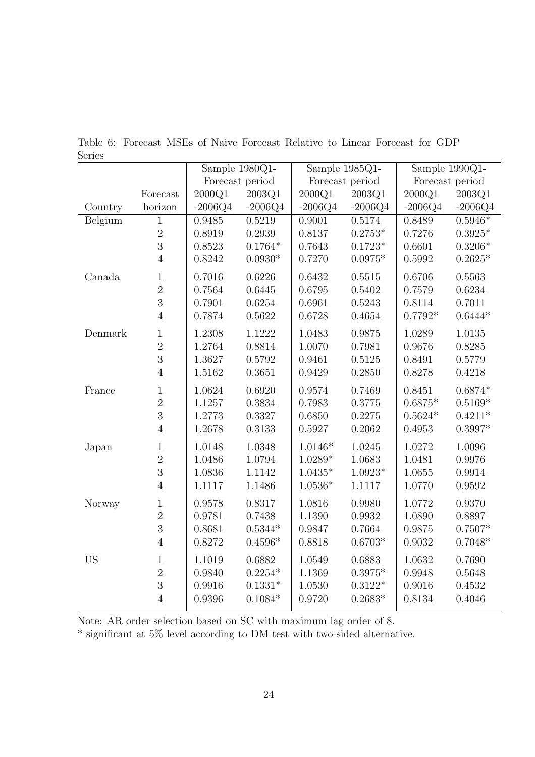| <u>nctice</u> |                |                 | Sample $1980Q1-$ |            | Sample $1985Q1-$ | Sample 1990Q1-  |           |  |
|---------------|----------------|-----------------|------------------|------------|------------------|-----------------|-----------|--|
|               |                | Forecast period |                  |            | Forecast period  | Forecast period |           |  |
|               | Forecast       | 2000Q1          | 2003Q1           | 2000Q1     | 2003Q1           | 2000Q1          | 2003Q1    |  |
| Country       | horizon        | $-2006Q4$       | $-2006Q4$        | $-2006Q4$  | $-2006Q4$        | $-2006Q4$       | $-2006Q4$ |  |
| Belgium       | $\mathbf{1}$   | 0.9485          | 0.5219           | 0.9001     | 0.5174           | 0.8489          | $0.5946*$ |  |
|               | $\sqrt{2}$     | 0.8919          | 0.2939           | 0.8137     | $0.2753*$        | 0.7276          | $0.3925*$ |  |
|               | $\overline{3}$ | 0.8523          | $0.1764*$        | 0.7643     | $0.1723*$        | 0.6601          | $0.3206*$ |  |
|               | $\overline{4}$ | 0.8242          | $0.0930*$        | 0.7270     | $0.0975*$        | 0.5992          | $0.2625*$ |  |
| Canada        | $\mathbf{1}$   | 0.7016          | 0.6226           | 0.6432     | 0.5515           | 0.6706          | 0.5563    |  |
|               | $\overline{2}$ | 0.7564          | 0.6445           | 0.6795     | 0.5402           | 0.7579          | 0.6234    |  |
|               | 3              | 0.7901          | 0.6254           | 0.6961     | 0.5243           | 0.8114          | 0.7011    |  |
|               | $\overline{4}$ | 0.7874          | 0.5622           | 0.6728     | 0.4654           | $0.7792*$       | $0.6444*$ |  |
| Denmark       | $\mathbf{1}$   | 1.2308          | 1.1222           | 1.0483     | 0.9875           | 1.0289          | 1.0135    |  |
|               | $\overline{2}$ | 1.2764          | 0.8814           | 1.0070     | 0.7981           | 0.9676          | 0.8285    |  |
|               | 3              | 1.3627          | 0.5792           | 0.9461     | 0.5125           | 0.8491          | 0.5779    |  |
|               | $\overline{4}$ | 1.5162          | 0.3651           | 0.9429     | 0.2850           | 0.8278          | 0.4218    |  |
| France        | $\mathbf{1}$   | 1.0624          | 0.6920           | 0.9574     | 0.7469           | 0.8451          | $0.6874*$ |  |
|               | $\overline{2}$ | 1.1257          | 0.3834           | 0.7983     | 0.3775           | $0.6875*$       | $0.5169*$ |  |
|               | $\overline{3}$ | 1.2773          | 0.3327           | 0.6850     | 0.2275           | $0.5624*$       | $0.4211*$ |  |
|               | $\overline{4}$ | 1.2678          | 0.3133           | 0.5927     | 0.2062           | 0.4953          | $0.3997*$ |  |
| Japan         | $\mathbf 1$    | 1.0148          | 1.0348           | $1.0146*$  | 1.0245           | 1.0272          | 1.0096    |  |
|               | $\overline{2}$ | 1.0486          | 1.0794           | $1.0289*$  | 1.0683           | 1.0481          | 0.9976    |  |
|               | $\overline{3}$ | 1.0836          | 1.1142           | $1.0435*$  | $1.0923*$        | 1.0655          | 0.9914    |  |
|               | $\overline{4}$ | 1.1117          | 1.1486           | $1.0536*$  | 1.1117           | 1.0770          | 0.9592    |  |
| Norway        | $\mathbf{1}$   | 0.9578          | 0.8317           | 1.0816     | 0.9980           | 1.0772          | 0.9370    |  |
|               | $\overline{2}$ | 0.9781          | 0.7438           | 1.1390     | 0.9932           | 1.0890          | 0.8897    |  |
|               | 3              | 0.8681          | $0.5344*$        | 0.9847     | 0.7664           | 0.9875          | $0.7507*$ |  |
|               | $\overline{4}$ | 0.8272          | $0.4596*$        | 0.8818     | $0.6703*$        | 0.9032          | $0.7048*$ |  |
| <b>US</b>     | $\mathbf{1}$   | 1.1019          | 0.6882           | 1.0549     | 0.6883           | 1.0632          | 0.7690    |  |
|               | $\overline{2}$ | 0.9840          | $0.2254*$        | 1.1369     | $0.3975*$        | 0.9948          | 0.5648    |  |
|               | $\overline{3}$ | 0.9916          | $0.1331*$        | $1.0530\,$ | $0.3122*$        | 0.9016          | 0.4532    |  |
|               | $\overline{4}$ | 0.9396          | $0.1084*$        | 0.9720     | $0.2683*$        | 0.8134          | 0.4046    |  |
|               |                |                 |                  |            |                  |                 |           |  |

Table 6: Forecast MSEs of Naive Forecast Relative to Linear Forecast for GDP Series

Note: AR order selection based on SC with maximum lag order of 8.

 $^\ast$  significant at 5% level according to DM test with two-sided alternative.